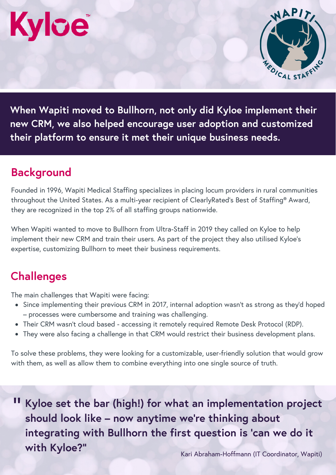# **Kylce**



**When Wapiti moved to Bullhorn, not only did Kyloe implement their new CRM, we also helped encourage user adoption and customized their platform to ensure it met their unique business needs.**

### **Background**

Founded in 1996, Wapiti Medical Staffing specializes in placing locum providers in rural communities throughout the United States. As a multi-year recipient of ClearlyRated's Best of Staffing® Award, they are recognized in the top 2% of all staffing groups nationwide.

When Wapiti wanted to move to Bullhorn from Ultra-Staff in 2019 they called on Kyloe to help implement their new CRM and train their users. As part of the project they also utilised Kyloe's expertise, customizing Bullhorn to meet their business requirements.

### **Challenges**

The main challenges that Wapiti were facing:

- Since implementing their previous CRM in 2017, internal adoption wasn't as strong as they'd hoped – processes were cumbersome and training was challenging.
- Their CRM wasn't cloud based accessing it remotely required Remote Desk Protocol (RDP).
- They were also facing a challenge in that CRM would restrict their business development plans.

To solve these problems, they were looking for a customizable, user-friendly solution that would grow with them, as well as allow them to combine everything into one single source of truth.

" **Kyloe set the bar (high!) for what an implementation project should look like – now anytime we're thinking about integrating with Bullhorn the first question is 'can we do it with Kyloe?"**